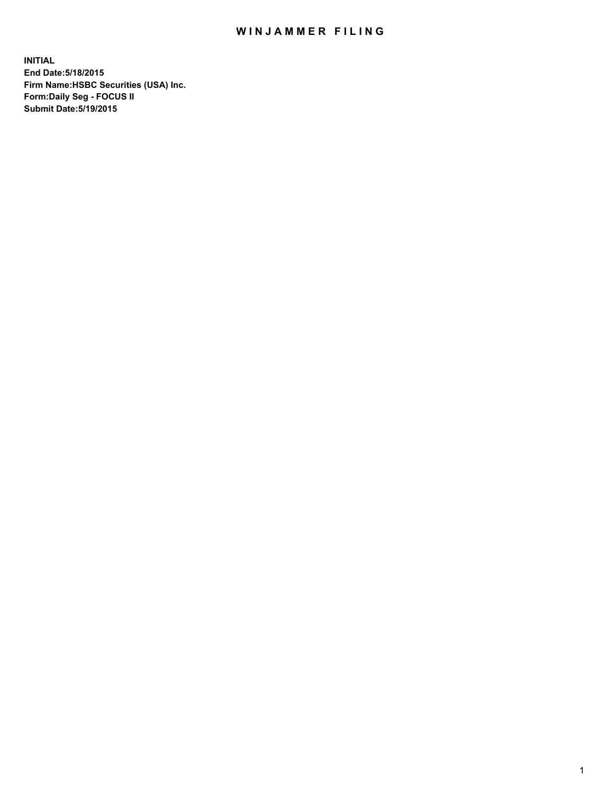## WIN JAMMER FILING

**INITIAL End Date:5/18/2015 Firm Name:HSBC Securities (USA) Inc. Form:Daily Seg - FOCUS II Submit Date:5/19/2015**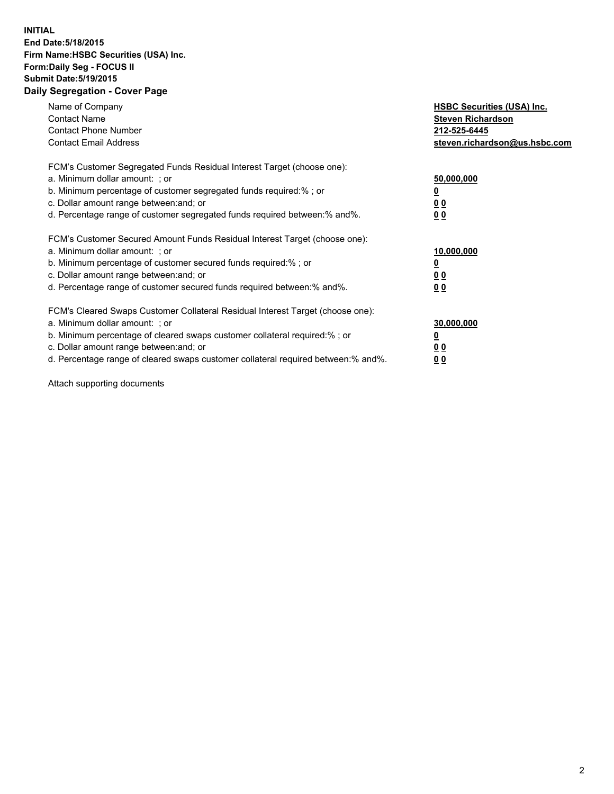## **INITIAL End Date:5/18/2015 Firm Name:HSBC Securities (USA) Inc. Form:Daily Seg - FOCUS II Submit Date:5/19/2015 Daily Segregation - Cover Page**

| Name of Company<br><b>Contact Name</b><br><b>Contact Phone Number</b><br><b>Contact Email Address</b>                                                                                                                                                                                                                          | <b>HSBC Securities (USA) Inc.</b><br><b>Steven Richardson</b><br>212-525-6445<br>steven.richardson@us.hsbc.com |
|--------------------------------------------------------------------------------------------------------------------------------------------------------------------------------------------------------------------------------------------------------------------------------------------------------------------------------|----------------------------------------------------------------------------------------------------------------|
| FCM's Customer Segregated Funds Residual Interest Target (choose one):<br>a. Minimum dollar amount: ; or<br>b. Minimum percentage of customer segregated funds required:%; or<br>c. Dollar amount range between: and; or<br>d. Percentage range of customer segregated funds required between: % and %.                        | 50,000,000<br>0 <sub>0</sub><br>0 <sub>0</sub>                                                                 |
| FCM's Customer Secured Amount Funds Residual Interest Target (choose one):<br>a. Minimum dollar amount: ; or<br>b. Minimum percentage of customer secured funds required:%; or<br>c. Dollar amount range between: and; or<br>d. Percentage range of customer secured funds required between:% and%.                            | 10,000,000<br><u>0</u><br>0 <sub>0</sub><br>0 <sub>0</sub>                                                     |
| FCM's Cleared Swaps Customer Collateral Residual Interest Target (choose one):<br>a. Minimum dollar amount: ; or<br>b. Minimum percentage of cleared swaps customer collateral required:% ; or<br>c. Dollar amount range between: and; or<br>d. Percentage range of cleared swaps customer collateral required between:% and%. | 30,000,000<br>00<br><u>00</u>                                                                                  |

Attach supporting documents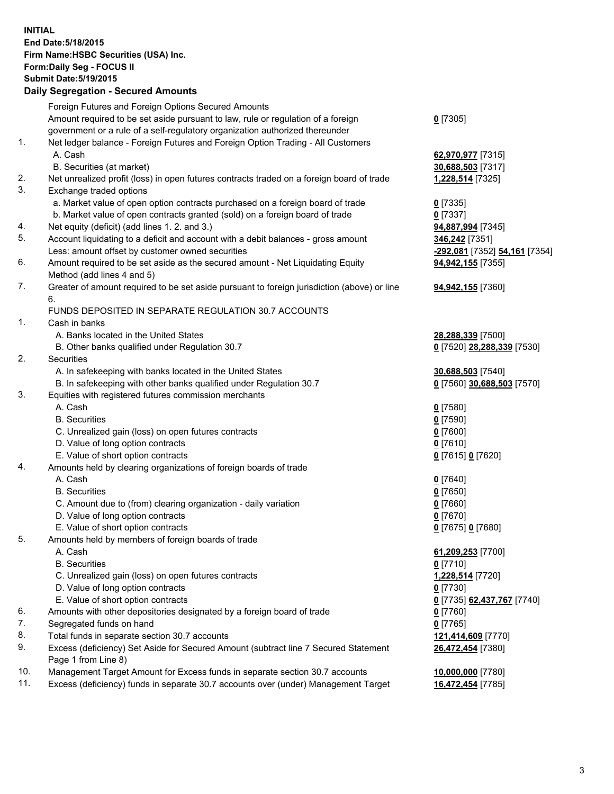**INITIAL End Date:5/18/2015 Firm Name:HSBC Securities (USA) Inc. Form:Daily Seg - FOCUS II Submit Date:5/19/2015 Daily Segregation - Secured Amounts**

Foreign Futures and Foreign Options Secured Amounts Amount required to be set aside pursuant to law, rule or regulation of a foreign government or a rule of a self-regulatory organization authorized thereunder **0** [7305] 1. Net ledger balance - Foreign Futures and Foreign Option Trading - All Customers A. Cash **62,970,977** [7315] B. Securities (at market) **30,688,503** [7317] 2. Net unrealized profit (loss) in open futures contracts traded on a foreign board of trade **1,228,514** [7325] 3. Exchange traded options a. Market value of open option contracts purchased on a foreign board of trade **0** [7335] b. Market value of open contracts granted (sold) on a foreign board of trade **0** [7337] 4. Net equity (deficit) (add lines 1. 2. and 3.) **94,887,994** [7345] 5. Account liquidating to a deficit and account with a debit balances - gross amount **346,242** [7351] Less: amount offset by customer owned securities **-292,081** [7352] **54,161** [7354] 6. Amount required to be set aside as the secured amount - Net Liquidating Equity Method (add lines 4 and 5) **94,942,155** [7355] 7. Greater of amount required to be set aside pursuant to foreign jurisdiction (above) or line 6. **94,942,155** [7360] FUNDS DEPOSITED IN SEPARATE REGULATION 30.7 ACCOUNTS 1. Cash in banks A. Banks located in the United States **28,288,339** [7500] B. Other banks qualified under Regulation 30.7 **0** [7520] **28,288,339** [7530] 2. Securities A. In safekeeping with banks located in the United States **30,688,503** [7540] B. In safekeeping with other banks qualified under Regulation 30.7 **0** [7560] **30,688,503** [7570] 3. Equities with registered futures commission merchants A. Cash **0** [7580] B. Securities **0** [7590] C. Unrealized gain (loss) on open futures contracts **0** [7600] D. Value of long option contracts **0** [7610] E. Value of short option contracts **0** [7615] **0** [7620] 4. Amounts held by clearing organizations of foreign boards of trade A. Cash **0** [7640] B. Securities **0** [7650] C. Amount due to (from) clearing organization - daily variation **0** [7660] D. Value of long option contracts **0** [7670] E. Value of short option contracts **0** [7675] **0** [7680] 5. Amounts held by members of foreign boards of trade A. Cash **61,209,253** [7700] B. Securities **0** [7710] C. Unrealized gain (loss) on open futures contracts **1,228,514** [7720] D. Value of long option contracts **0** [7730] E. Value of short option contracts **0** [7735] **62,437,767** [7740] 6. Amounts with other depositories designated by a foreign board of trade **0** [7760] 7. Segregated funds on hand **0** [7765] 8. Total funds in separate section 30.7 accounts **121,414,609** [7770] 9. Excess (deficiency) Set Aside for Secured Amount (subtract line 7 Secured Statement Page 1 from Line 8) **26,472,454** [7380] 10. Management Target Amount for Excess funds in separate section 30.7 accounts **10,000,000** [7780] 11. Excess (deficiency) funds in separate 30.7 accounts over (under) Management Target **16,472,454** [7785]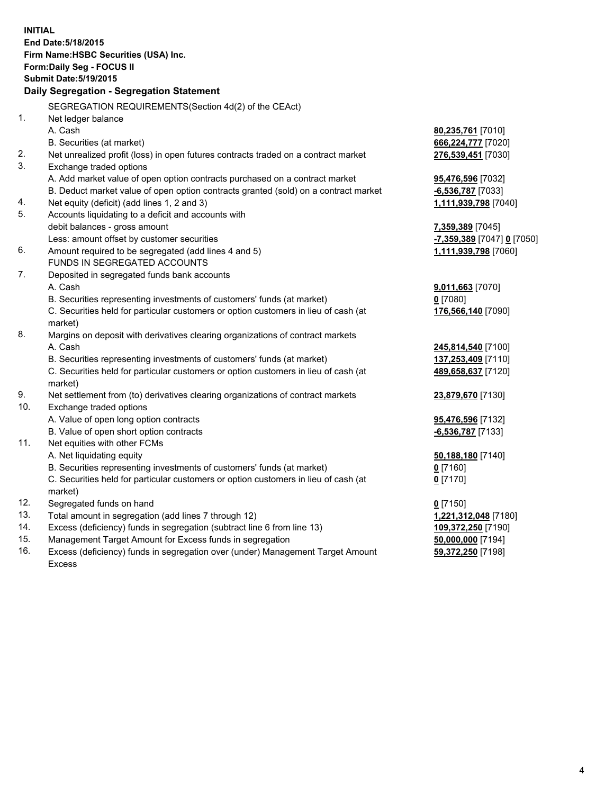| <b>INITIAL</b> | End Date: 5/18/2015<br>Firm Name: HSBC Securities (USA) Inc.<br>Form: Daily Seg - FOCUS II<br><b>Submit Date: 5/19/2015</b><br>Daily Segregation - Segregation Statement |                                                    |
|----------------|--------------------------------------------------------------------------------------------------------------------------------------------------------------------------|----------------------------------------------------|
|                |                                                                                                                                                                          |                                                    |
| 1.             | SEGREGATION REQUIREMENTS(Section 4d(2) of the CEAct)                                                                                                                     |                                                    |
|                | Net ledger balance<br>A. Cash                                                                                                                                            |                                                    |
|                |                                                                                                                                                                          | 80,235,761 [7010]                                  |
| 2.             | B. Securities (at market)                                                                                                                                                | 666,224,777 [7020]                                 |
| 3.             | Net unrealized profit (loss) in open futures contracts traded on a contract market                                                                                       | 276,539,451 [7030]                                 |
|                | Exchange traded options                                                                                                                                                  |                                                    |
|                | A. Add market value of open option contracts purchased on a contract market                                                                                              | 95,476,596 [7032]                                  |
|                | B. Deduct market value of open option contracts granted (sold) on a contract market                                                                                      | $-6,536,787$ [7033]                                |
| 4.<br>5.       | Net equity (deficit) (add lines 1, 2 and 3)<br>Accounts liquidating to a deficit and accounts with                                                                       | 1,111,939,798 [7040]                               |
|                | debit balances - gross amount                                                                                                                                            |                                                    |
|                | Less: amount offset by customer securities                                                                                                                               | 7,359,389 [7045]                                   |
| 6.             | Amount required to be segregated (add lines 4 and 5)                                                                                                                     | -7,359,389 [7047] 0 [7050]<br>1,111,939,798 [7060] |
|                | FUNDS IN SEGREGATED ACCOUNTS                                                                                                                                             |                                                    |
| 7.             | Deposited in segregated funds bank accounts                                                                                                                              |                                                    |
|                | A. Cash                                                                                                                                                                  | 9,011,663 [7070]                                   |
|                | B. Securities representing investments of customers' funds (at market)                                                                                                   | $0$ [7080]                                         |
|                | C. Securities held for particular customers or option customers in lieu of cash (at                                                                                      | 176,566,140 [7090]                                 |
|                | market)                                                                                                                                                                  |                                                    |
| 8.             | Margins on deposit with derivatives clearing organizations of contract markets                                                                                           |                                                    |
|                | A. Cash                                                                                                                                                                  | 245,814,540 [7100]                                 |
|                | B. Securities representing investments of customers' funds (at market)                                                                                                   | 137,253,409 [7110]                                 |
|                | C. Securities held for particular customers or option customers in lieu of cash (at                                                                                      | 489,658,637 [7120]                                 |
|                | market)                                                                                                                                                                  |                                                    |
| 9.             | Net settlement from (to) derivatives clearing organizations of contract markets                                                                                          | 23,879,670 [7130]                                  |
| 10.            | Exchange traded options                                                                                                                                                  |                                                    |
|                | A. Value of open long option contracts                                                                                                                                   | 95,476,596 [7132]                                  |
|                | B. Value of open short option contracts                                                                                                                                  | -6,536,787 [7133]                                  |
| 11.            | Net equities with other FCMs                                                                                                                                             |                                                    |
|                | A. Net liquidating equity                                                                                                                                                | 50,188,180 [7140]                                  |
|                | B. Securities representing investments of customers' funds (at market)                                                                                                   | $0$ [7160]                                         |
|                | C. Securities held for particular customers or option customers in lieu of cash (at                                                                                      | $0$ [7170]                                         |
|                | market)                                                                                                                                                                  |                                                    |
| 12.            | Segregated funds on hand                                                                                                                                                 | $0$ [7150]                                         |
| 13.            | Total amount in segregation (add lines 7 through 12)                                                                                                                     | 1,221,312,048 [7180]                               |
| 14.            | Excess (deficiency) funds in segregation (subtract line 6 from line 13)                                                                                                  | 109,372,250 [7190]                                 |
| 15.            | Management Target Amount for Excess funds in segregation                                                                                                                 | 50,000,000 [7194]                                  |
| 16.            | Excess (deficiency) funds in segregation over (under) Management Target Amount                                                                                           | 59,372,250 [7198]                                  |
|                | Excess                                                                                                                                                                   |                                                    |